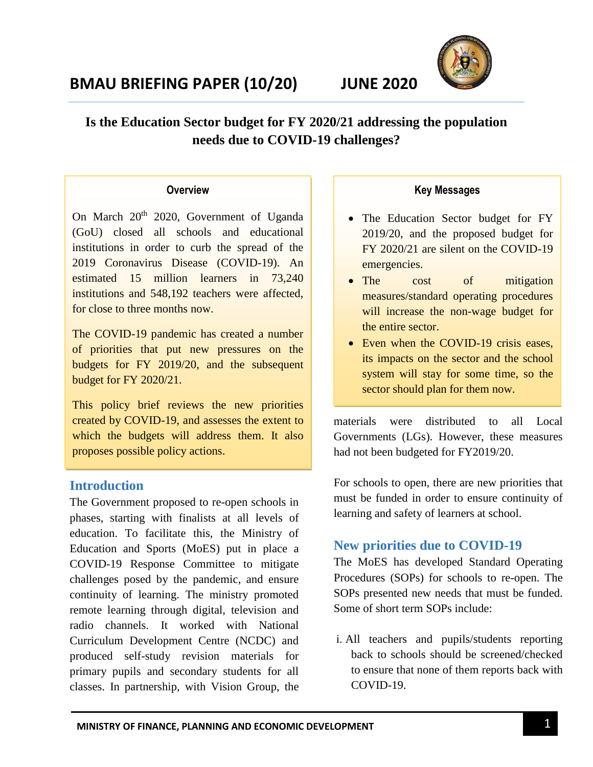# **BMAU BRIEFING PAPER (10/20) JUNE 2020**



## 1 **Is the Education Sector budget for FY 2020/21 addressing the population**  2 **needs due to COVID-19 challenges?**

#### **Overview**

On March 20<sup>th</sup> 2020, Government of Uganda (GoU) closed all schools and educational institutions in order to curb the spread of the 2019 Coronavirus Disease (COVID-19). An estimated 15 million learners in 73,240 institutions and 548,192 teachers were affected, for close to three months now.

The COVID-19 pandemic has created a number of priorities that put new pressures on the budgets for FY 2019/20, and the subsequent budget for FY 2020/21.

This policy brief reviews the new priorities created by COVID-19, and assesses the extent to which the budgets will address them. It also proposes possible policy actions.

### **Introduction**

The Government proposed to re-open schools in phases, starting with finalists at all levels of education. To facilitate this, the Ministry of Education and Sports (MoES) put in place a COVID-19 Response Committee to mitigate challenges posed by the pandemic, and ensure continuity of learning. The ministry promoted remote learning through digital, television and radio channels. It worked with National Curriculum Development Centre (NCDC) and produced self-study revision materials for primary pupils and secondary students for all classes. In partnership, with Vision Group, the

#### **Key Messages**

- The Education Sector budget for FY 2019/20, and the proposed budget for FY 2020/21 are silent on the COVID-19 emergencies.
- The cost of mitigation measures/standard operating procedures will increase the non-wage budget for the entire sector.
- Even when the COVID-19 crisis eases, its impacts on the sector and the school system will stay for some time, so the sector should plan for them now.

materials were distributed to all Local Governments (LGs). However, these measures had not been budgeted for FY2019/20.

For schools to open, there are new priorities that must be funded in order to ensure continuity of learning and safety of learners at school.

### **New priorities due to COVID-19**

The MoES has developed Standard Operating Procedures (SOPs) for schools to re-open. The SOPs presented new needs that must be funded. Some of short term SOPs include:

i. All teachers and pupils/students reporting back to schools should be screened/checked to ensure that none of them reports back with COVID-19.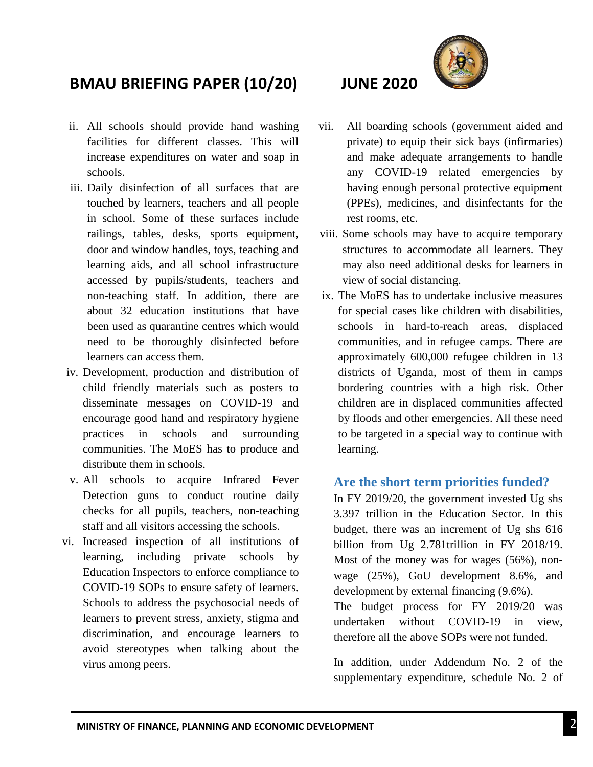

# **BMAU BRIEFING PAPER (10/20) JUNE 2020**

- ii. All schools should provide hand washing facilities for different classes. This will increase expenditures on water and soap in schools.
- iii. Daily disinfection of all surfaces that are touched by learners, teachers and all people in school. Some of these surfaces include railings, tables, desks, sports equipment, door and window handles, toys, teaching and learning aids, and all school infrastructure accessed by pupils/students, teachers and non-teaching staff. In addition, there are about 32 education institutions that have been used as quarantine centres which would need to be thoroughly disinfected before learners can access them.
- iv. Development, production and distribution of child friendly materials such as posters to disseminate messages on COVID-19 and encourage good hand and respiratory hygiene practices in schools and surrounding communities. The MoES has to produce and distribute them in schools.
- v. All schools to acquire Infrared Fever Detection guns to conduct routine daily checks for all pupils, teachers, non-teaching staff and all visitors accessing the schools.
- vi. Increased inspection of all institutions of learning, including private schools by Education Inspectors to enforce compliance to COVID-19 SOPs to ensure safety of learners. Schools to address the psychosocial needs of learners to prevent stress, anxiety, stigma and discrimination, and encourage learners to avoid stereotypes when talking about the virus among peers.
- vii. All boarding schools (government aided and private) to equip their sick bays (infirmaries) and make adequate arrangements to handle any COVID-19 related emergencies by having enough personal protective equipment (PPEs), medicines, and disinfectants for the rest rooms, etc.
- viii. Some schools may have to acquire temporary structures to accommodate all learners. They may also need additional desks for learners in view of social distancing.
- ix. The MoES has to undertake inclusive measures for special cases like children with disabilities, schools in hard-to-reach areas, displaced communities, and in refugee camps. There are approximately 600,000 refugee children in 13 districts of Uganda, most of them in camps bordering countries with a high risk. Other children are in displaced communities affected by floods and other emergencies. All these need to be targeted in a special way to continue with learning.

#### **Are the short term priorities funded?**

In FY 2019/20, the government invested Ug shs 3.397 trillion in the Education Sector. In this budget, there was an increment of Ug shs 616 billion from Ug 2.781trillion in FY 2018/19. Most of the money was for wages (56%), nonwage (25%), GoU development 8.6%, and development by external financing (9.6%).

The budget process for FY 2019/20 was undertaken without COVID-19 in view, therefore all the above SOPs were not funded.

In addition, under Addendum No. 2 of the supplementary expenditure, schedule No. 2 of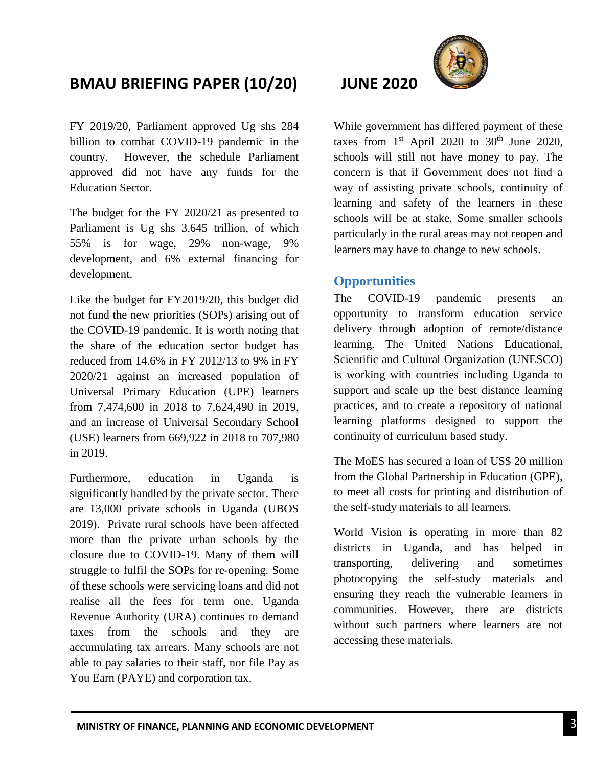# **BMAU BRIEFING PAPER (10/20) JUNE 2020**

FY 2019/20, Parliament approved Ug shs 284 billion to combat COVID-19 pandemic in the country. However, the schedule Parliament approved did not have any funds for the Education Sector.

The budget for the FY 2020/21 as presented to Parliament is Ug shs 3.645 trillion, of which 55% is for wage, 29% non-wage, 9% development, and 6% external financing for development.

Like the budget for FY2019/20, this budget did not fund the new priorities (SOPs) arising out of the COVID-19 pandemic. It is worth noting that the share of the education sector budget has reduced from 14.6% in FY 2012/13 to 9% in FY 2020/21 against an increased population of Universal Primary Education (UPE) learners from 7,474,600 in 2018 to 7,624,490 in 2019, and an increase of Universal Secondary School (USE) learners from 669,922 in 2018 to 707,980 in 2019.

Furthermore, education in Uganda is significantly handled by the private sector. There are 13,000 private schools in Uganda (UBOS 2019). Private rural schools have been affected more than the private urban schools by the closure due to COVID-19. Many of them will struggle to fulfil the SOPs for re-opening. Some of these schools were servicing loans and did not realise all the fees for term one. Uganda Revenue Authority (URA) continues to demand taxes from the schools and they are accumulating tax arrears. Many schools are not able to pay salaries to their staff, nor file Pay as You Earn (PAYE) and corporation tax.

While government has differed payment of these taxes from  $1<sup>st</sup>$  April 2020 to 30<sup>th</sup> June 2020, schools will still not have money to pay. The concern is that if Government does not find a way of assisting private schools, continuity of learning and safety of the learners in these schools will be at stake. Some smaller schools particularly in the rural areas may not reopen and learners may have to change to new schools.

### **Opportunities**

The COVID-19 pandemic presents an opportunity to transform education service delivery through adoption of remote/distance learning. The United Nations Educational, Scientific and Cultural Organization (UNESCO) is working with countries including Uganda to support and scale up the best distance learning practices, and to create a repository of national learning platforms designed to support the continuity of curriculum based study.

The MoES has secured a loan of US\$ 20 million from the Global Partnership in Education (GPE), to meet all costs for printing and distribution of the self-study materials to all learners.

World Vision is operating in more than 82 districts in Uganda, and has helped in transporting, delivering and sometimes photocopying the self-study materials and ensuring they reach the vulnerable learners in communities. However, there are districts without such partners where learners are not accessing these materials.